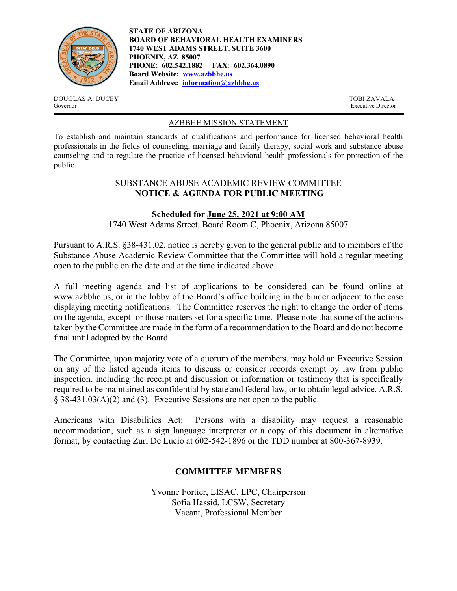

**STATE OF ARIZONA BOARD OF BEHAVIORAL HEALTH EXAMINERS 1740 WEST ADAMS STREET, SUITE 3600 PHOENIX, AZ 85007 PHONE: 602.542.1882 FAX: 602.364.0890 Board Website: www.azbbhe.us Email Address: information@azbbhe.us**

DOUGLAS A. DUCEY TOBI ZAVALA Governor Executive Director

## AZBBHE MISSION STATEMENT

To establish and maintain standards of qualifications and performance for licensed behavioral health professionals in the fields of counseling, marriage and family therapy, social work and substance abuse counseling and to regulate the practice of licensed behavioral health professionals for protection of the public.

## SUBSTANCE ABUSE ACADEMIC REVIEW COMMITTEE **NOTICE & AGENDA FOR PUBLIC MEETING**

## **Scheduled for June 25, 2021 at 9:00 AM**

1740 West Adams Street, Board Room C, Phoenix, Arizona 85007

Pursuant to A.R.S. §38-431.02, notice is hereby given to the general public and to members of the Substance Abuse Academic Review Committee that the Committee will hold a regular meeting open to the public on the date and at the time indicated above.

A full meeting agenda and list of applications to be considered can be found online at www.azbbhe.us, or in the lobby of the Board's office building in the binder adjacent to the case displaying meeting notifications. The Committee reserves the right to change the order of items on the agenda, except for those matters set for a specific time. Please note that some of the actions taken by the Committee are made in the form of a recommendation to the Board and do not become final until adopted by the Board.

The Committee, upon majority vote of a quorum of the members, may hold an Executive Session on any of the listed agenda items to discuss or consider records exempt by law from public inspection, including the receipt and discussion or information or testimony that is specifically required to be maintained as confidential by state and federal law, or to obtain legal advice. A.R.S. § 38-431.03(A)(2) and (3). Executive Sessions are not open to the public.

Americans with Disabilities Act: Persons with a disability may request a reasonable accommodation, such as a sign language interpreter or a copy of this document in alternative format, by contacting Zuri De Lucio at 602-542-1896 or the TDD number at 800-367-8939.

# **COMMITTEE MEMBERS**

Yvonne Fortier, LISAC, LPC, Chairperson Sofia Hassid, LCSW, Secretary Vacant, Professional Member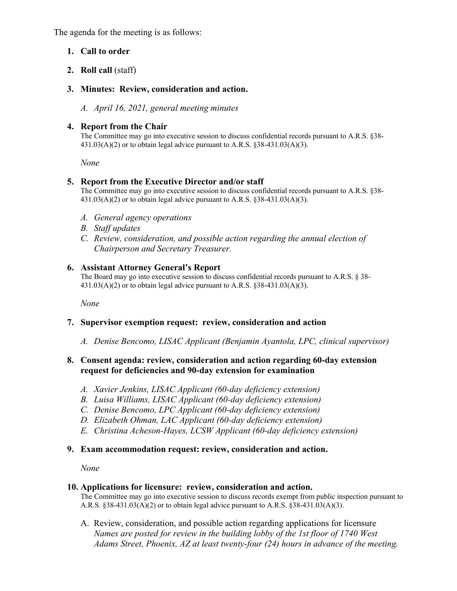The agenda for the meeting is as follows:

## **1. Call to order**

## **2. Roll call** (staff)

## **3. Minutes: Review, consideration and action.**

*A. April 16, 2021, general meeting minutes* 

## **4. Report from the Chair**

The Committee may go into executive session to discuss confidential records pursuant to A.R.S. §38-  $431.03(A)(2)$  or to obtain legal advice pursuant to A.R.S. §38-431.03(A)(3).

 *None* 

## **5. Report from the Executive Director and/or staff**

The Committee may go into executive session to discuss confidential records pursuant to A.R.S. §38-  $431.03(A)(2)$  or to obtain legal advice pursuant to A.R.S. §38-431.03(A)(3).

- *A. General agency operations*
- *B. Staff updates*
- *C. Review, consideration, and possible action regarding the annual election of Chairperson and Secretary Treasurer.*

## **6. Assistant Attorney General's Report**

The Board may go into executive session to discuss confidential records pursuant to A.R.S. § 38-  $431.03(A)(2)$  or to obtain legal advice pursuant to A.R.S.  $838-431.03(A)(3)$ .

 *None* 

# **7. Supervisor exemption request: review, consideration and action**

*A. Denise Bencomo, LISAC Applicant (Benjamin Ayantola, LPC, clinical supervisor)* 

## **8. Consent agenda: review, consideration and action regarding 60-day extension request for deficiencies and 90-day extension for examination**

- *A. Xavier Jenkins, LISAC Applicant (60-day deficiency extension)*
- *B. Luisa Williams, LISAC Applicant (60-day deficiency extension)*
- *C. Denise Bencomo, LPC Applicant (60-day deficiency extension)*
- *D. Elizabeth Ohman, LAC Applicant (60-day deficiency extension)*
- *E. Christina Acheson-Hayes, LCSW Applicant (60-day deficiency extension)*

## **9. Exam accommodation request: review, consideration and action.**

*None* 

#### **10. Applications for licensure: review, consideration and action.**

The Committee may go into executive session to discuss records exempt from public inspection pursuant to A.R.S. §38-431.03(A)(2) or to obtain legal advice pursuant to A.R.S. §38-431.03(A)(3).

A. Review, consideration, and possible action regarding applications for licensure  *Names are posted for review in the building lobby of the 1st floor of 1740 West Adams Street, Phoenix, AZ at least twenty-four (24) hours in advance of the meeting.*